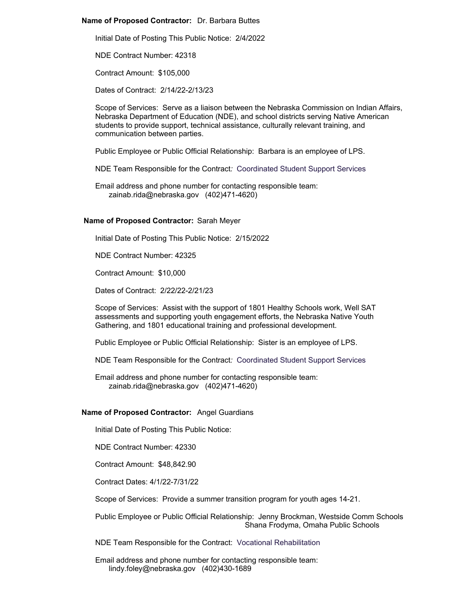## **Name of Proposed Contractor:** Dr. Barbara Buttes

Initial Date of Posting This Public Notice: 2/4/2022

NDE Contract Number: 42318

Contract Amount: \$105,000

Dates of Contract: 2/14/22-2/13/23

Scope of Services: Serve as a liaison between the Nebraska Commission on Indian Affairs, Nebraska Department of Education (NDE), and school districts serving Native American students to provide support, technical assistance, culturally relevant training, and communication between parties.

Public Employee or Public Official Relationship: Barbara is an employee of LPS.

NDE Team Responsible for the Contract*:* Coordinated Student Support Services

Email address and phone number for contacting responsible team: zainab.rida@nebraska.gov (402)471-4620)

## **Name of Proposed Contractor:** Sarah Meyer

Initial Date of Posting This Public Notice: 2/15/2022

NDE Contract Number: 42325

Contract Amount: \$10,000

Dates of Contract: 2/22/22-2/21/23

Scope of Services: Assist with the support of 1801 Healthy Schools work, Well SAT assessments and supporting youth engagement efforts, the Nebraska Native Youth Gathering, and 1801 educational training and professional development.

Public Employee or Public Official Relationship: Sister is an employee of LPS.

NDE Team Responsible for the Contract*:* Coordinated Student Support Services

Email address and phone number for contacting responsible team: zainab.rida@nebraska.gov (402)471-4620)

## **Name of Proposed Contractor:** Angel Guardians

Initial Date of Posting This Public Notice:

NDE Contract Number: 42330

Contract Amount: \$48,842.90

Contract Dates: 4/1/22-7/31/22

Scope of Services: Provide a summer transition program for youth ages 14-21.

Public Employee or Public Official Relationship: Jenny Brockman, Westside Comm Schools Shana Frodyma, Omaha Public Schools

NDE Team Responsible for the Contract: Vocational Rehabilitation

Email address and phone number for contacting responsible team: lindy.foley@nebraska.gov (402)430-1689